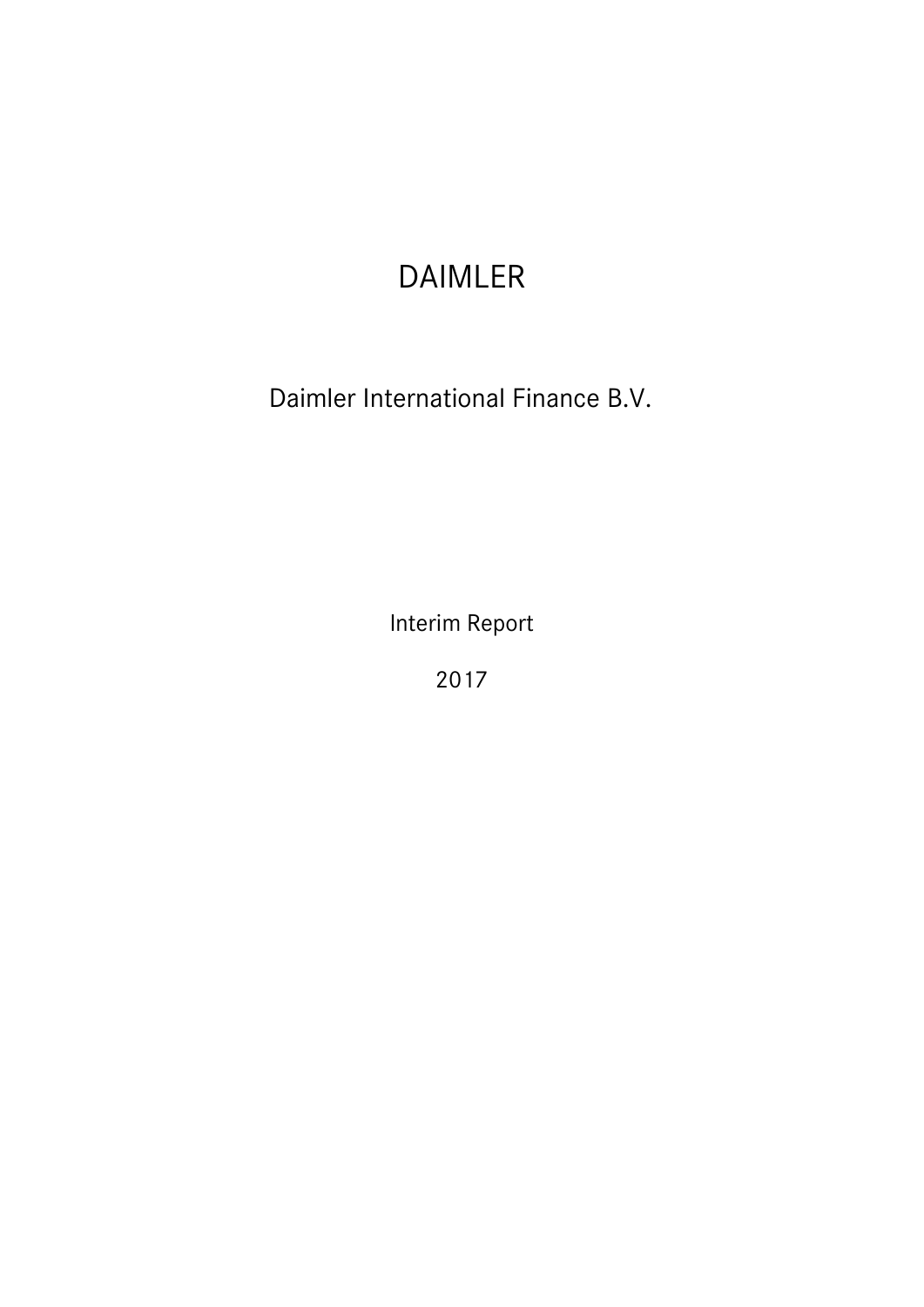# DAIMLER

Daimler International Finance B.V.

Interim Report

2017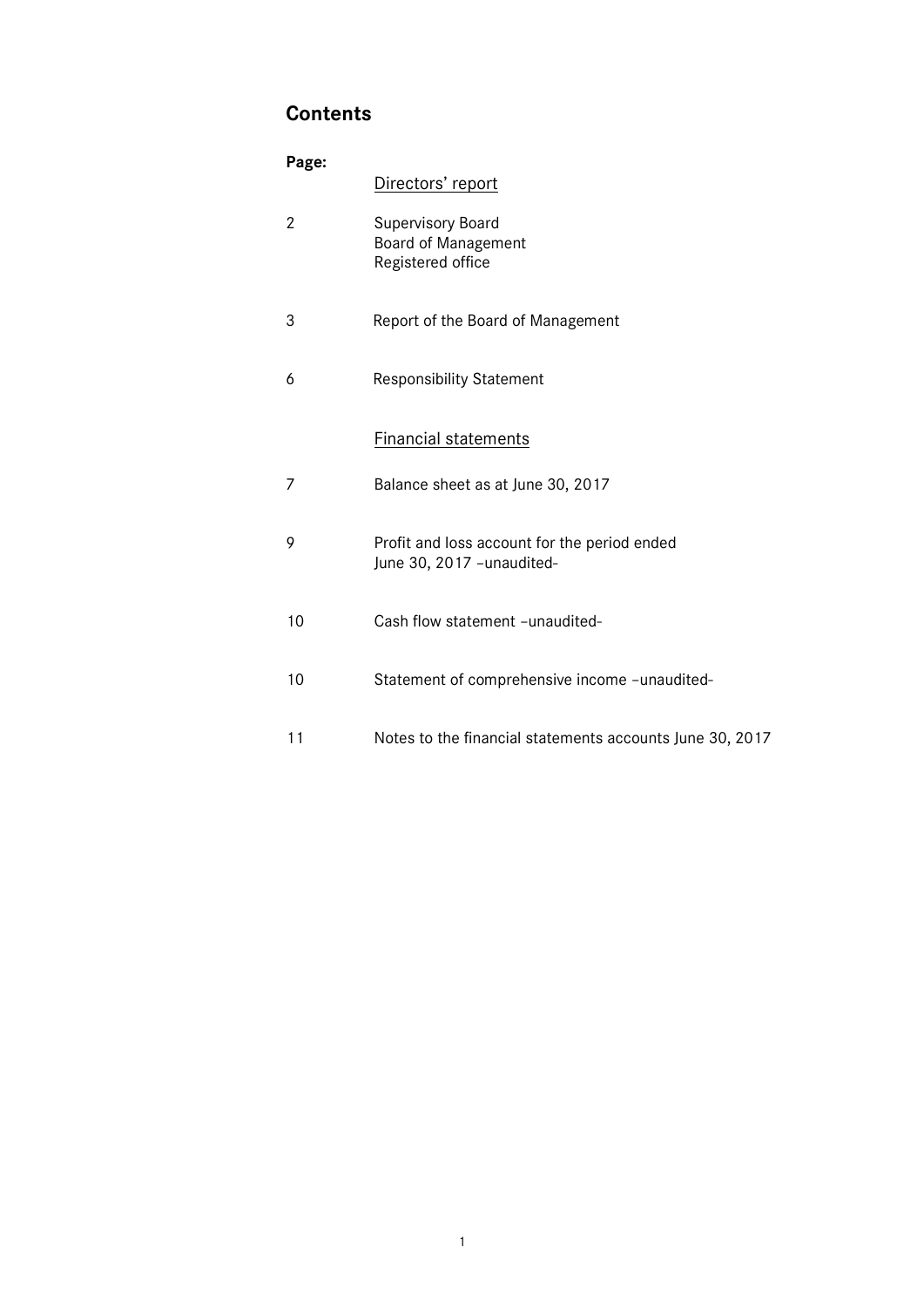# **Contents**

| Page: |                                                                            |
|-------|----------------------------------------------------------------------------|
|       | Directors' report                                                          |
| 2     | Supervisory Board<br><b>Board of Management</b><br>Registered office       |
| 3     | Report of the Board of Management                                          |
| 6     | <b>Responsibility Statement</b>                                            |
|       | <b>Financial statements</b>                                                |
| 7     | Balance sheet as at June 30, 2017                                          |
| 9     | Profit and loss account for the period ended<br>June 30, 2017 - unaudited- |
| 10    | Cash flow statement -unaudited-                                            |
| 10    | Statement of comprehensive income -unaudited-                              |
| 11    | Notes to the financial statements accounts June 30, 2017                   |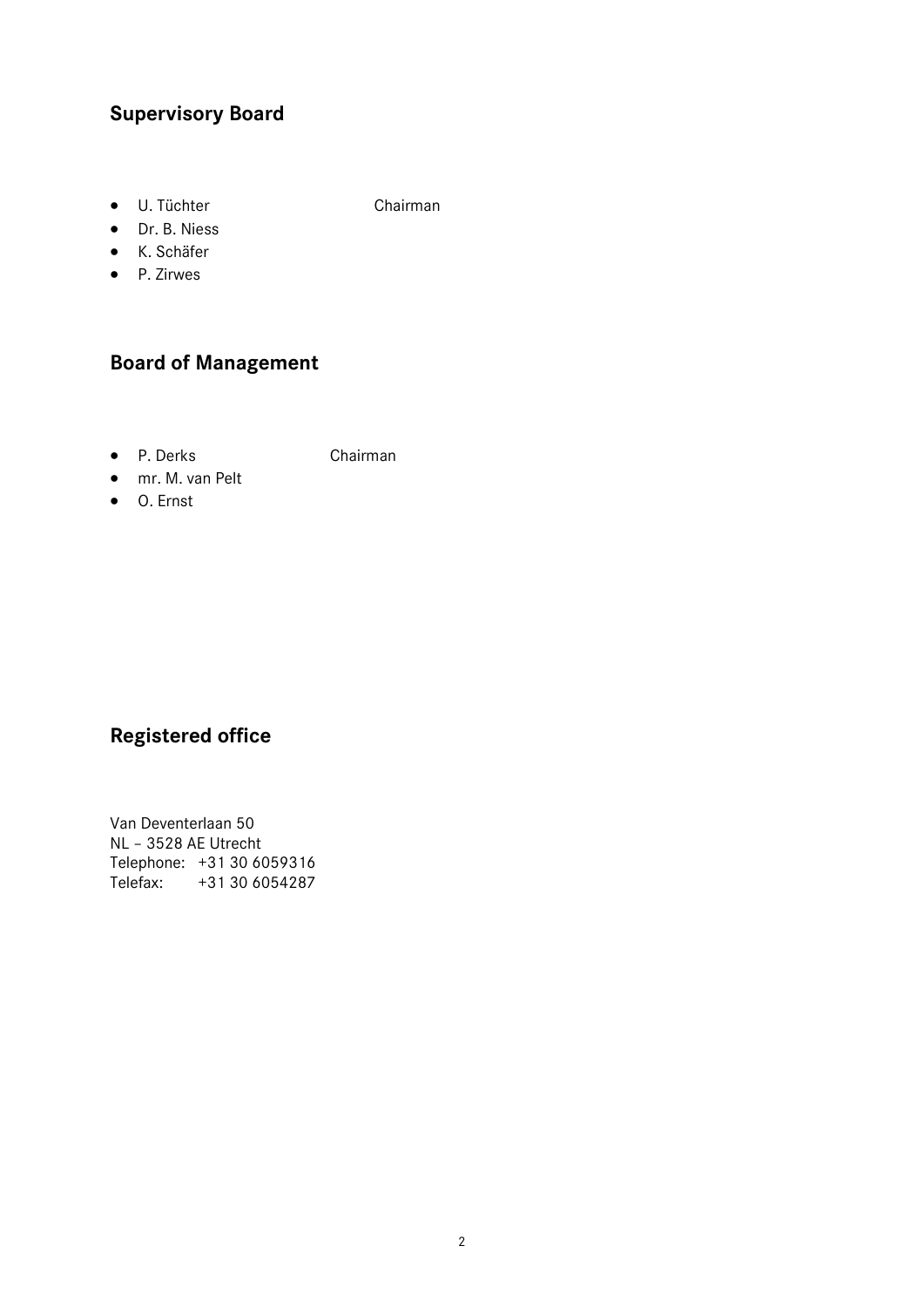# **Supervisory Board**

U. Tüchter Chairman

- Dr. B. Niess
- K. Schäfer
- P. Zirwes

# **Board of Management**

P. Derks Chairman

- mr. M. van Pelt
- O. Ernst

# **Registered office**

Van Deventerlaan 50 NL – 3528 AE Utrecht Telephone: +31 30 6059316 Telefax: +31 30 6054287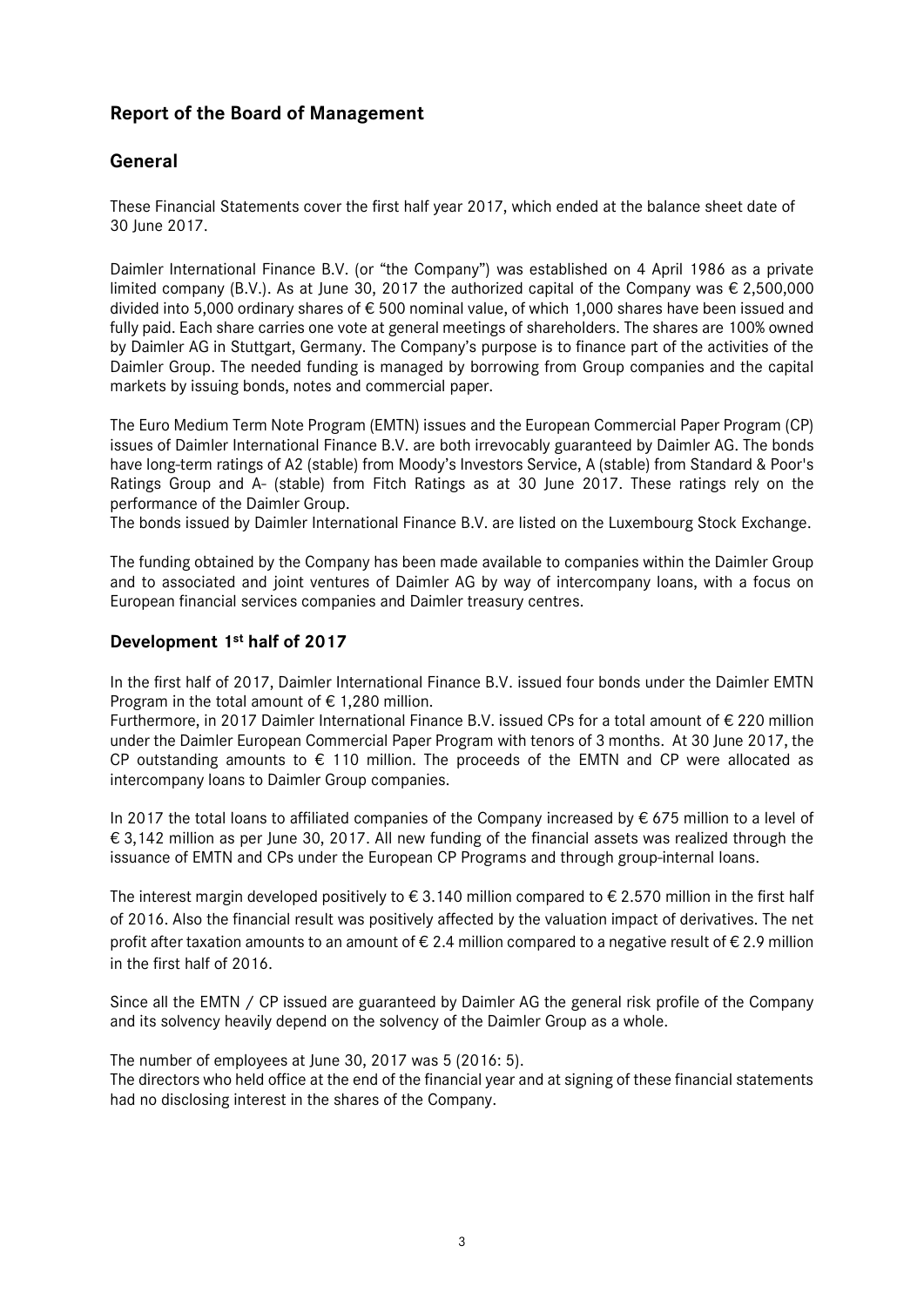# **Report of the Board of Management**

# **General**

These Financial Statements cover the first half year 2017, which ended at the balance sheet date of 30 June 2017.

Daimler International Finance B.V. (or "the Company") was established on 4 April 1986 as a private limited company (B.V.). As at June 30, 2017 the authorized capital of the Company was € 2,500,000 divided into 5,000 ordinary shares of € 500 nominal value, of which 1,000 shares have been issued and fully paid. Each share carries one vote at general meetings of shareholders. The shares are 100% owned by Daimler AG in Stuttgart, Germany. The Company's purpose is to finance part of the activities of the Daimler Group. The needed funding is managed by borrowing from Group companies and the capital markets by issuing bonds, notes and commercial paper.

The Euro Medium Term Note Program (EMTN) issues and the European Commercial Paper Program (CP) issues of Daimler International Finance B.V. are both irrevocably guaranteed by Daimler AG. The bonds have long-term ratings of A2 (stable) from Moody's Investors Service, A (stable) from Standard & Poor's Ratings Group and A- (stable) from Fitch Ratings as at 30 June 2017. These ratings rely on the performance of the Daimler Group.

The bonds issued by Daimler International Finance B.V. are listed on the Luxembourg Stock Exchange.

The funding obtained by the Company has been made available to companies within the Daimler Group and to associated and joint ventures of Daimler AG by way of intercompany loans, with a focus on European financial services companies and Daimler treasury centres.

# **Development 1 st half of 2017**

In the first half of 2017, Daimler International Finance B.V. issued four bonds under the Daimler EMTN Program in the total amount of  $\epsilon$  1,280 million.

Furthermore, in 2017 Daimler International Finance B.V. issued CPs for a total amount of € 220 million under the Daimler European Commercial Paper Program with tenors of 3 months. At 30 June 2017, the CP outstanding amounts to  $\epsilon$  110 million. The proceeds of the EMTN and CP were allocated as intercompany loans to Daimler Group companies.

In 2017 the total loans to affiliated companies of the Company increased by € 675 million to a level of  $\epsilon$  3,142 million as per June 30, 2017. All new funding of the financial assets was realized through the issuance of EMTN and CPs under the European CP Programs and through group-internal loans.

The interest margin developed positively to  $\epsilon$  3.140 million compared to  $\epsilon$  2.570 million in the first half of 2016. Also the financial result was positively affected by the valuation impact of derivatives. The net profit after taxation amounts to an amount of  $\epsilon$  2.4 million compared to a negative result of  $\epsilon$  2.9 million in the first half of 2016.

Since all the EMTN / CP issued are guaranteed by Daimler AG the general risk profile of the Company and its solvency heavily depend on the solvency of the Daimler Group as a whole.

The number of employees at June 30, 2017 was 5 (2016: 5).

The directors who held office at the end of the financial year and at signing of these financial statements had no disclosing interest in the shares of the Company.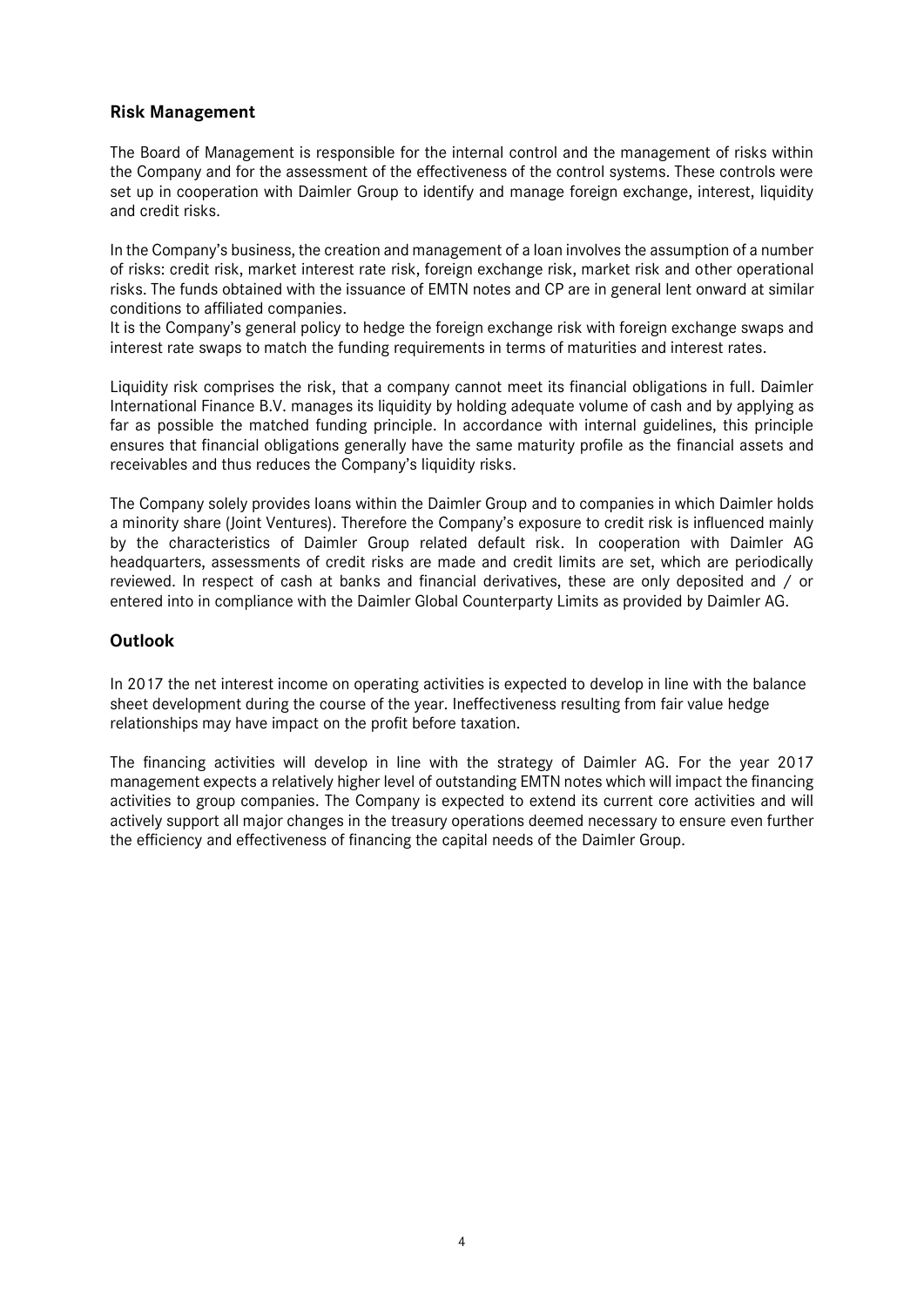#### **Risk Management**

The Board of Management is responsible for the internal control and the management of risks within the Company and for the assessment of the effectiveness of the control systems. These controls were set up in cooperation with Daimler Group to identify and manage foreign exchange, interest, liquidity and credit risks.

In the Company's business, the creation and management of a loan involves the assumption of a number of risks: credit risk, market interest rate risk, foreign exchange risk, market risk and other operational risks. The funds obtained with the issuance of EMTN notes and CP are in general lent onward at similar conditions to affiliated companies.

It is the Company's general policy to hedge the foreign exchange risk with foreign exchange swaps and interest rate swaps to match the funding requirements in terms of maturities and interest rates.

Liquidity risk comprises the risk, that a company cannot meet its financial obligations in full. Daimler International Finance B.V. manages its liquidity by holding adequate volume of cash and by applying as far as possible the matched funding principle. In accordance with internal guidelines, this principle ensures that financial obligations generally have the same maturity profile as the financial assets and receivables and thus reduces the Company's liquidity risks.

The Company solely provides loans within the Daimler Group and to companies in which Daimler holds a minority share (Joint Ventures). Therefore the Company's exposure to credit risk is influenced mainly by the characteristics of Daimler Group related default risk. In cooperation with Daimler AG headquarters, assessments of credit risks are made and credit limits are set, which are periodically reviewed. In respect of cash at banks and financial derivatives, these are only deposited and / or entered into in compliance with the Daimler Global Counterparty Limits as provided by Daimler AG.

#### **Outlook**

In 2017 the net interest income on operating activities is expected to develop in line with the balance sheet development during the course of the year. Ineffectiveness resulting from fair value hedge relationships may have impact on the profit before taxation.

The financing activities will develop in line with the strategy of Daimler AG. For the year 2017 management expects a relatively higher level of outstanding EMTN notes which will impact the financing activities to group companies. The Company is expected to extend its current core activities and will actively support all major changes in the treasury operations deemed necessary to ensure even further the efficiency and effectiveness of financing the capital needs of the Daimler Group.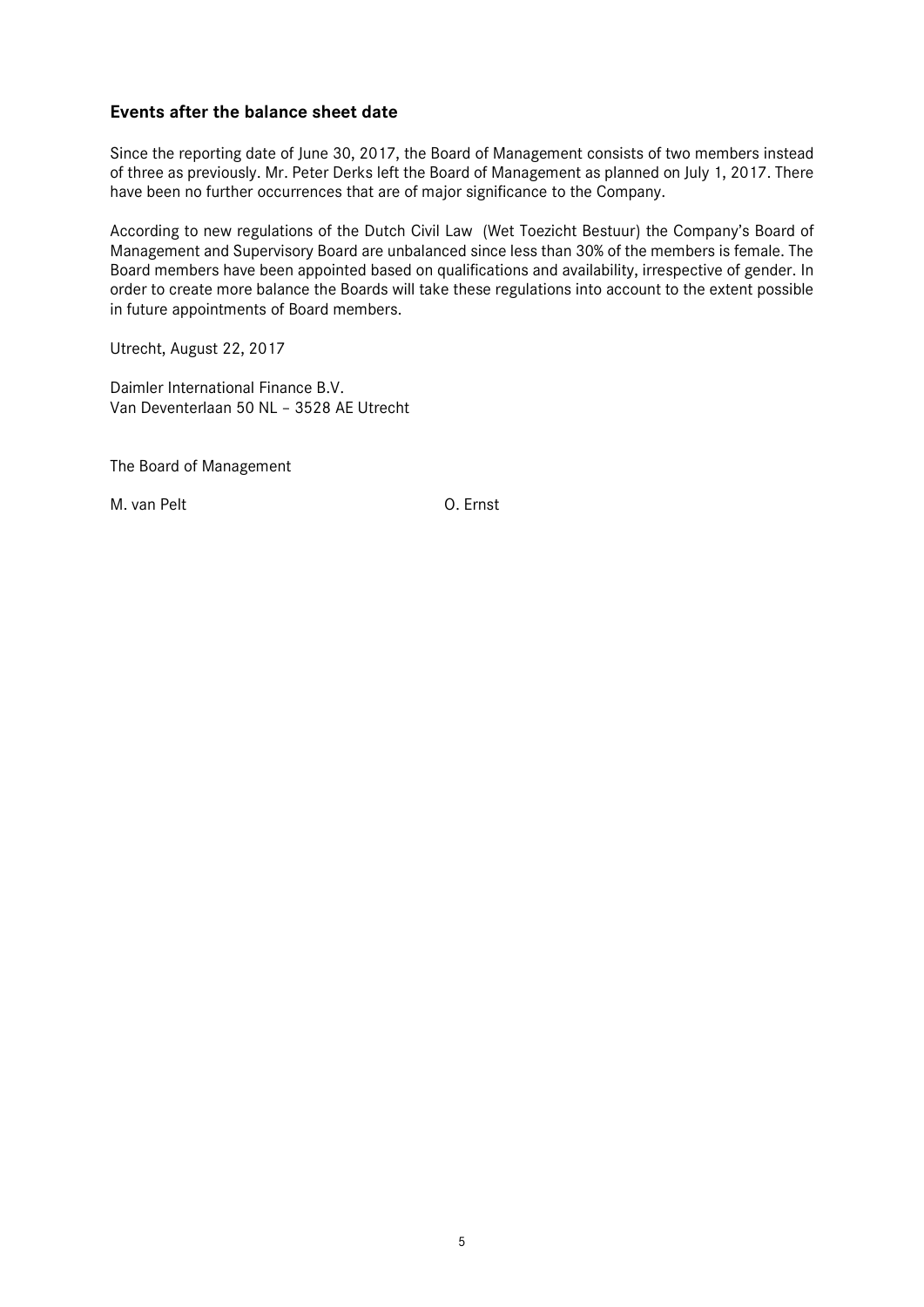#### **Events after the balance sheet date**

Since the reporting date of June 30, 2017, the Board of Management consists of two members instead of three as previously. Mr. Peter Derks left the Board of Management as planned on July 1, 2017. There have been no further occurrences that are of major significance to the Company.

According to new regulations of the Dutch Civil Law (Wet Toezicht Bestuur) the Company's Board of Management and Supervisory Board are unbalanced since less than 30% of the members is female. The Board members have been appointed based on qualifications and availability, irrespective of gender. In order to create more balance the Boards will take these regulations into account to the extent possible in future appointments of Board members.

Utrecht, August 22, 2017

Daimler International Finance B.V. Van Deventerlaan 50 NL – 3528 AE Utrecht

The Board of Management

M. van Pelt O. Ernst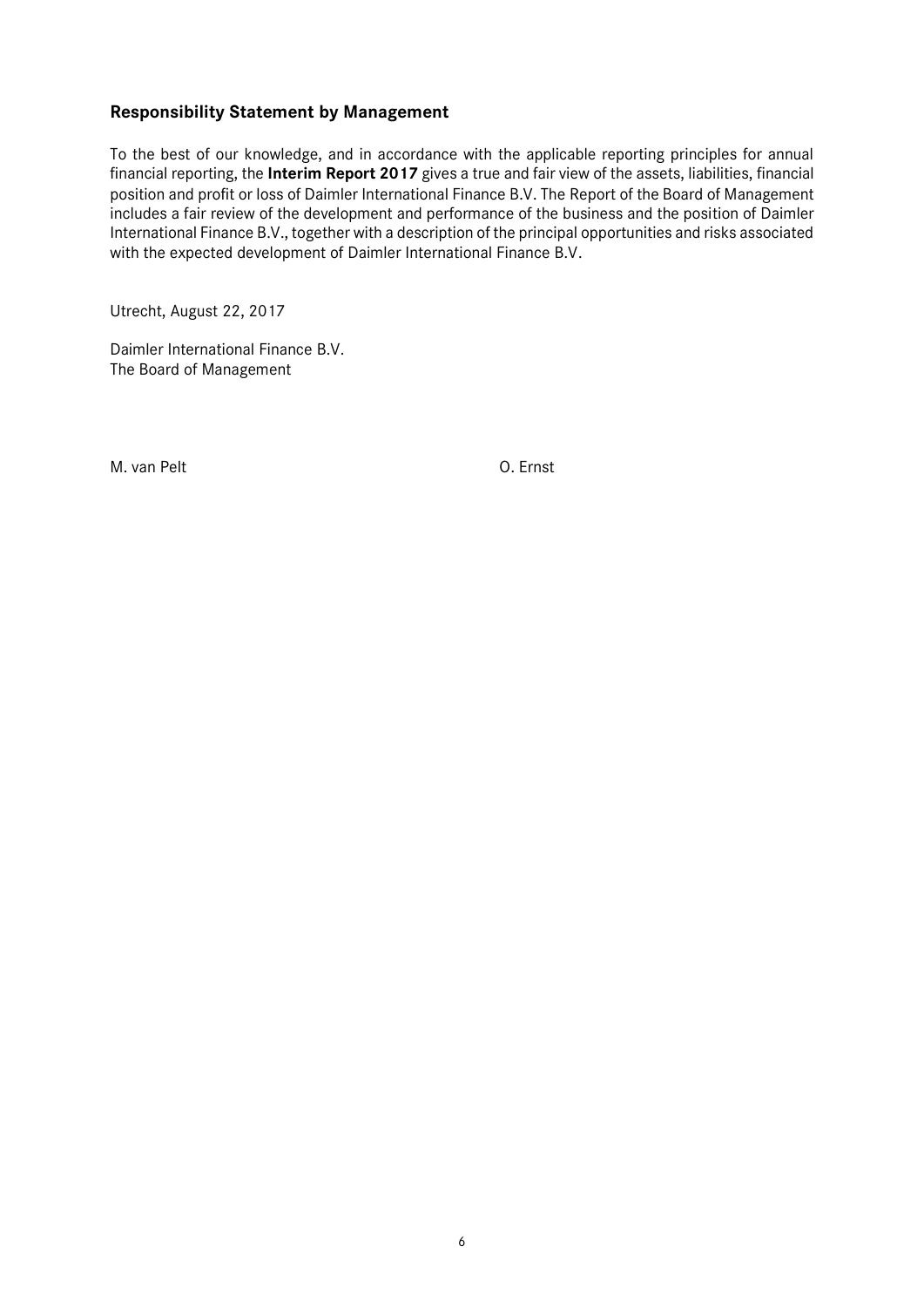#### **Responsibility Statement by Management**

To the best of our knowledge, and in accordance with the applicable reporting principles for annual financial reporting, the **Interim Report 2017** gives a true and fair view of the assets, liabilities, financial position and profit or loss of Daimler International Finance B.V. The Report of the Board of Management includes a fair review of the development and performance of the business and the position of Daimler International Finance B.V., together with a description of the principal opportunities and risks associated with the expected development of Daimler International Finance B.V.

Utrecht, August 22, 2017

Daimler International Finance B.V. The Board of Management

M. van Pelt O. Ernst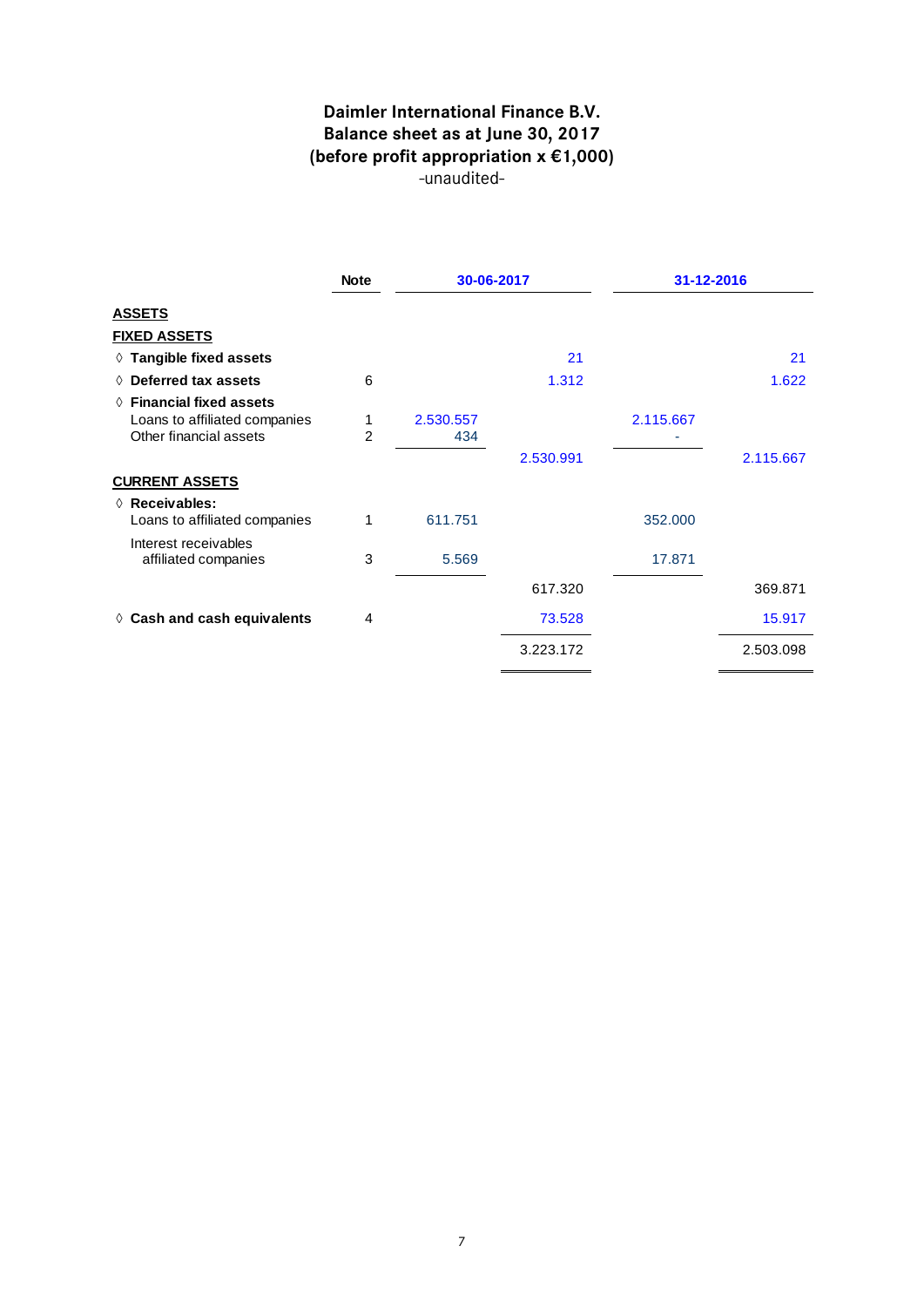# **Daimler International Finance B.V. Balance sheet as at June 30, 2017 (before profit appropriation x €1,000)** -unaudited-

|                                                                                              | <b>Note</b> | 30-06-2017       |           | 31-12-2016 |           |
|----------------------------------------------------------------------------------------------|-------------|------------------|-----------|------------|-----------|
| <b>ASSETS</b>                                                                                |             |                  |           |            |           |
| <b>FIXED ASSETS</b>                                                                          |             |                  |           |            |           |
| ◊ Tangible fixed assets                                                                      |             |                  | 21        |            | 21        |
| $\Diamond$ Deferred tax assets                                                               | 6           |                  | 1.312     |            | 1.622     |
| $\Diamond$ Financial fixed assets<br>Loans to affiliated companies<br>Other financial assets | 1<br>2      | 2.530.557<br>434 |           | 2.115.667  |           |
|                                                                                              |             |                  | 2.530.991 |            | 2.115.667 |
| <b>CURRENT ASSETS</b>                                                                        |             |                  |           |            |           |
| $\Diamond$ Receivables:<br>Loans to affiliated companies                                     | 1           | 611.751          |           | 352,000    |           |
| Interest receivables<br>affiliated companies                                                 | 3           | 5.569            |           | 17.871     |           |
|                                                                                              |             |                  | 617.320   |            | 369.871   |
| $\Diamond$ Cash and cash equivalents                                                         | 4           |                  | 73.528    |            | 15.917    |
|                                                                                              |             |                  | 3.223.172 |            | 2.503.098 |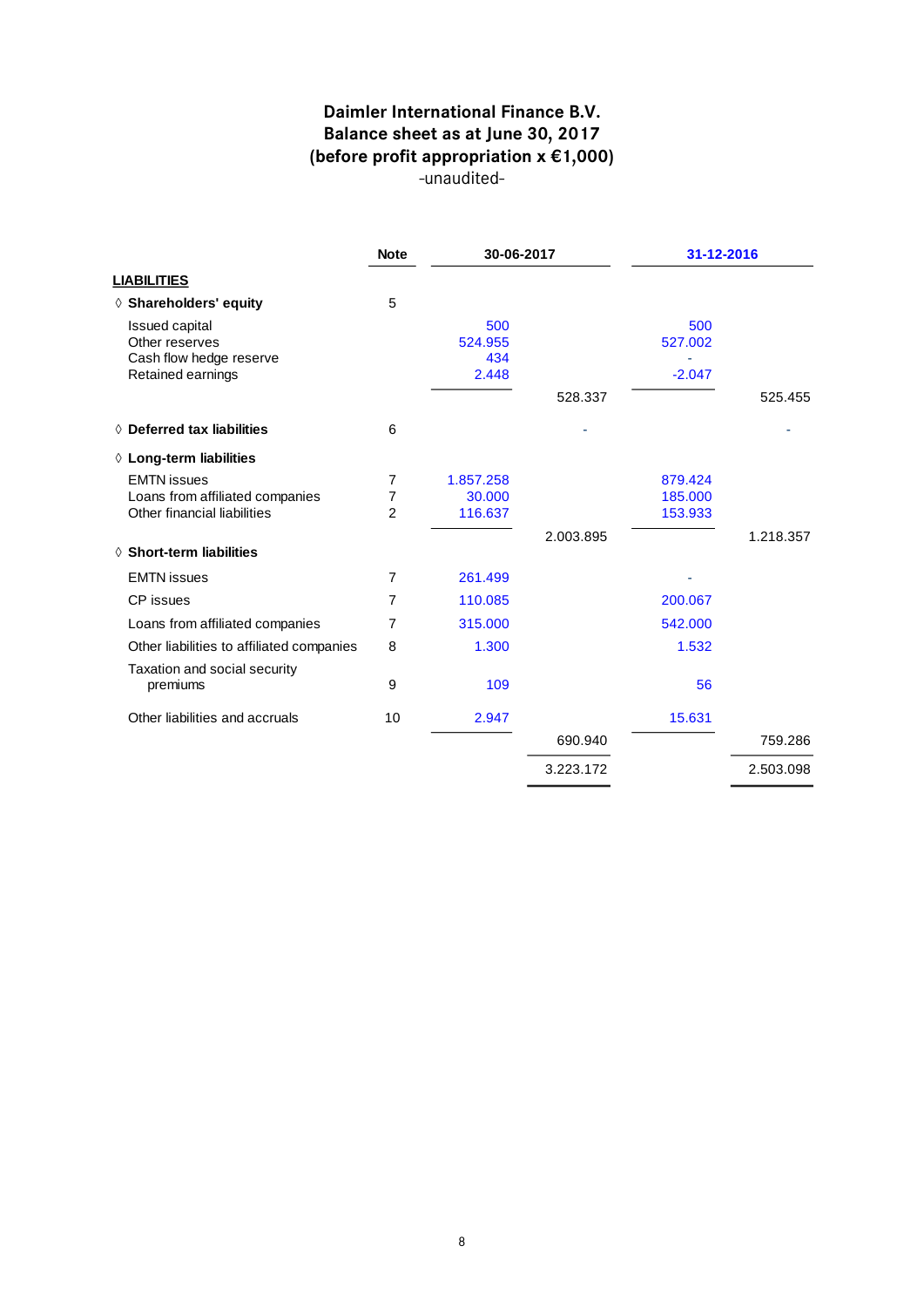# **Daimler International Finance B.V. Balance sheet as at June 30, 2017 (before profit appropriation x €1,000)** -unaudited-

|                                           | 30-06-2017<br><b>Note</b> |           |           | 31-12-2016 |           |
|-------------------------------------------|---------------------------|-----------|-----------|------------|-----------|
| <b>LIABILITIES</b>                        |                           |           |           |            |           |
| ◊ Shareholders' equity                    | 5                         |           |           |            |           |
| <b>Issued capital</b>                     |                           | 500       |           | 500        |           |
| Other reserves                            |                           | 524.955   |           | 527.002    |           |
| Cash flow hedge reserve                   |                           | 434       |           |            |           |
| Retained earnings                         |                           | 2.448     |           | $-2.047$   |           |
|                                           |                           |           | 528.337   |            | 525.455   |
| $\diamond$ Deferred tax liabilities       | 6                         |           |           |            |           |
| ◊ Long-term liabilities                   |                           |           |           |            |           |
| <b>EMTN</b> issues                        | 7                         | 1.857.258 |           | 879.424    |           |
| Loans from affiliated companies           | 7                         | 30.000    |           | 185.000    |           |
| Other financial liabilities               | $\overline{2}$            | 116.637   |           | 153.933    |           |
|                                           |                           |           | 2.003.895 |            | 1.218.357 |
| $\diamond$ Short-term liabilities         |                           |           |           |            |           |
| <b>EMTN</b> issues                        | $\overline{7}$            | 261.499   |           |            |           |
| CP issues                                 | $\overline{7}$            | 110.085   |           | 200.067    |           |
| Loans from affiliated companies           | 7                         | 315.000   |           | 542.000    |           |
| Other liabilities to affiliated companies | 8                         | 1.300     |           | 1.532      |           |
| Taxation and social security              |                           |           |           |            |           |
| premiums                                  | 9                         | 109       |           | 56         |           |
| Other liabilities and accruals            | 10                        | 2.947     |           | 15.631     |           |
|                                           |                           |           | 690.940   |            | 759.286   |
|                                           |                           |           | 3.223.172 |            | 2.503.098 |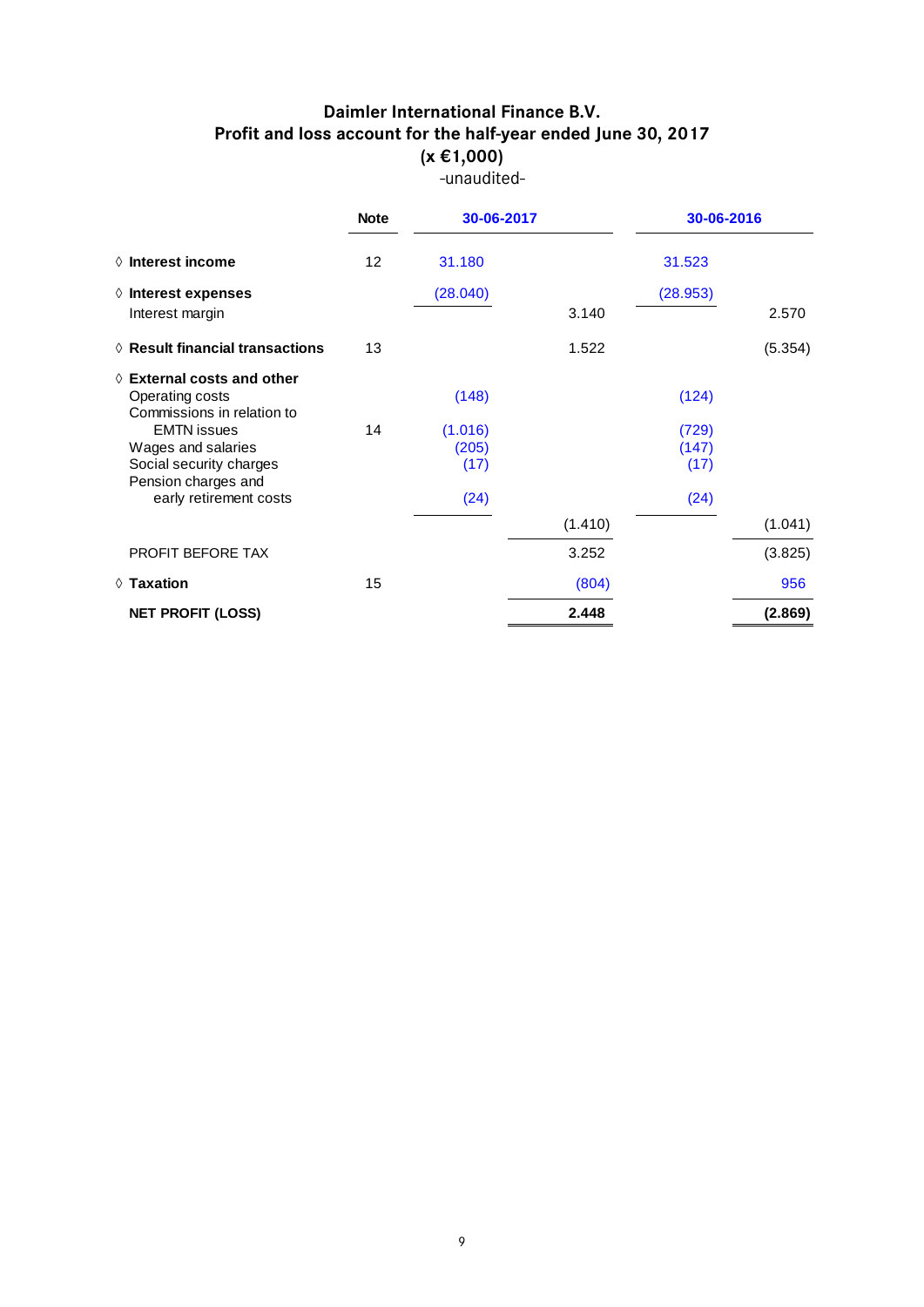# **Daimler International Finance B.V. Profit and loss account for the half-year ended June 30, 2017 (x €1,000)** -unaudited-

|                                                                                      | <b>Note</b> | 30-06-2017               |         | 30-06-2016             |         |
|--------------------------------------------------------------------------------------|-------------|--------------------------|---------|------------------------|---------|
| $\Diamond$ Interest income                                                           | 12          | 31.180                   |         | 31.523                 |         |
| $\Diamond$ Interest expenses                                                         |             | (28.040)                 |         | (28.953)               |         |
| Interest margin                                                                      |             |                          | 3.140   |                        | 2.570   |
| $\Diamond$ Result financial transactions                                             | 13          |                          | 1.522   |                        | (5.354) |
| $\diamond$ External costs and other<br>Operating costs<br>Commissions in relation to |             | (148)                    |         | (124)                  |         |
| <b>EMTN</b> issues<br>Wages and salaries<br>Social security charges                  | 14          | (1.016)<br>(205)<br>(17) |         | (729)<br>(147)<br>(17) |         |
| Pension charges and<br>early retirement costs                                        |             | (24)                     |         | (24)                   |         |
|                                                                                      |             |                          | (1.410) |                        | (1.041) |
| PROFIT BEFORE TAX                                                                    |             |                          | 3.252   |                        | (3.825) |
| $\Diamond$ Taxation                                                                  | 15          |                          | (804)   |                        | 956     |
| <b>NET PROFIT (LOSS)</b>                                                             |             |                          | 2.448   |                        | (2.869) |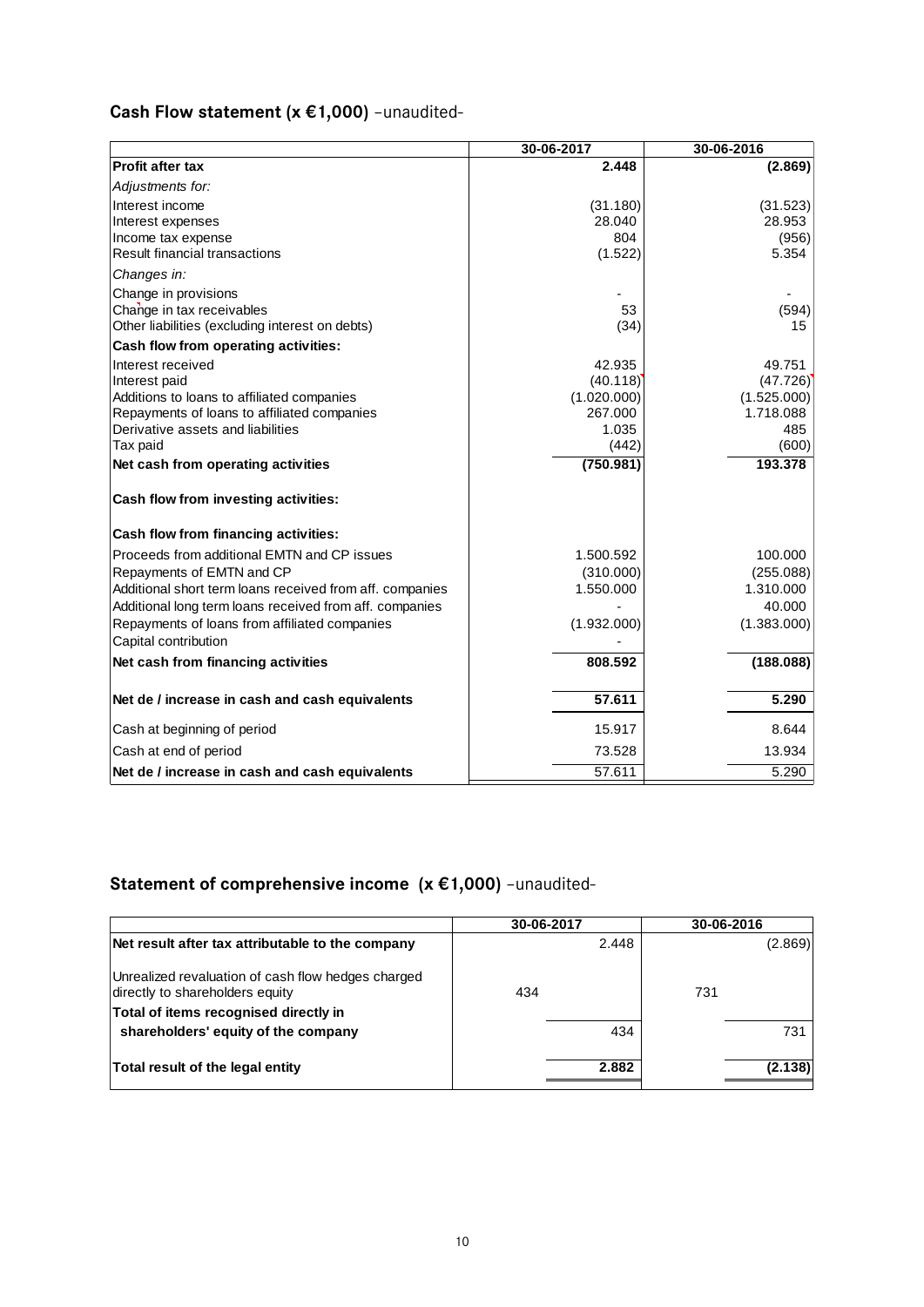# **Cash Flow statement (x €1,000)** –unaudited-

|                                                          | 30-06-2017  | 30-06-2016  |
|----------------------------------------------------------|-------------|-------------|
| <b>Profit after tax</b>                                  | 2.448       | (2.869)     |
| Adjustments for:                                         |             |             |
| Interest income                                          | (31.180)    | (31.523)    |
| Interest expenses                                        | 28.040      | 28.953      |
| Income tax expense                                       | 804         | (956)       |
| Result financial transactions                            | (1.522)     | 5.354       |
| Changes in:                                              |             |             |
| Change in provisions                                     |             |             |
| Change in tax receivables                                | 53          | (594)       |
| Other liabilities (excluding interest on debts)          | (34)        | 15          |
| Cash flow from operating activities:                     |             |             |
| Interest received                                        | 42.935      | 49.751      |
| Interest paid                                            | (40.118)    | (47.726)    |
| Additions to loans to affiliated companies               | (1.020.000) | (1.525.000) |
| Repayments of loans to affiliated companies              | 267.000     | 1.718.088   |
| Derivative assets and liabilities                        | 1.035       | 485         |
| Tax paid                                                 | (442)       | (600)       |
| Net cash from operating activities                       | (750.981)   | 193.378     |
| Cash flow from investing activities:                     |             |             |
| Cash flow from financing activities:                     |             |             |
| Proceeds from additional EMTN and CP issues              | 1.500.592   | 100.000     |
| Repayments of EMTN and CP                                | (310.000)   | (255.088)   |
| Additional short term loans received from aff. companies | 1.550.000   | 1.310.000   |
| Additional long term loans received from aff. companies  |             | 40.000      |
| Repayments of loans from affiliated companies            | (1.932.000) | (1.383.000) |
| Capital contribution                                     |             |             |
| Net cash from financing activities                       | 808.592     | (188.088)   |
| Net de / increase in cash and cash equivalents           | 57.611      | 5.290       |
|                                                          |             |             |
| Cash at beginning of period                              | 15.917      | 8.644       |
| Cash at end of period                                    | 73.528      | 13.934      |
| Net de / increase in cash and cash equivalents           | 57.611      | 5.290       |

# **Statement of comprehensive income (x €1,000)** –unaudited-

|                                                                                       | 30-06-2017 |       |     | 30-06-2016 |
|---------------------------------------------------------------------------------------|------------|-------|-----|------------|
| Net result after tax attributable to the company                                      |            | 2.448 |     | (2.869)    |
| Unrealized revaluation of cash flow hedges charged<br>directly to shareholders equity | 434        |       | 731 |            |
| Total of items recognised directly in<br>shareholders' equity of the company          |            | 434   |     | 731        |
| Total result of the legal entity                                                      |            | 2.882 |     | (2.138)    |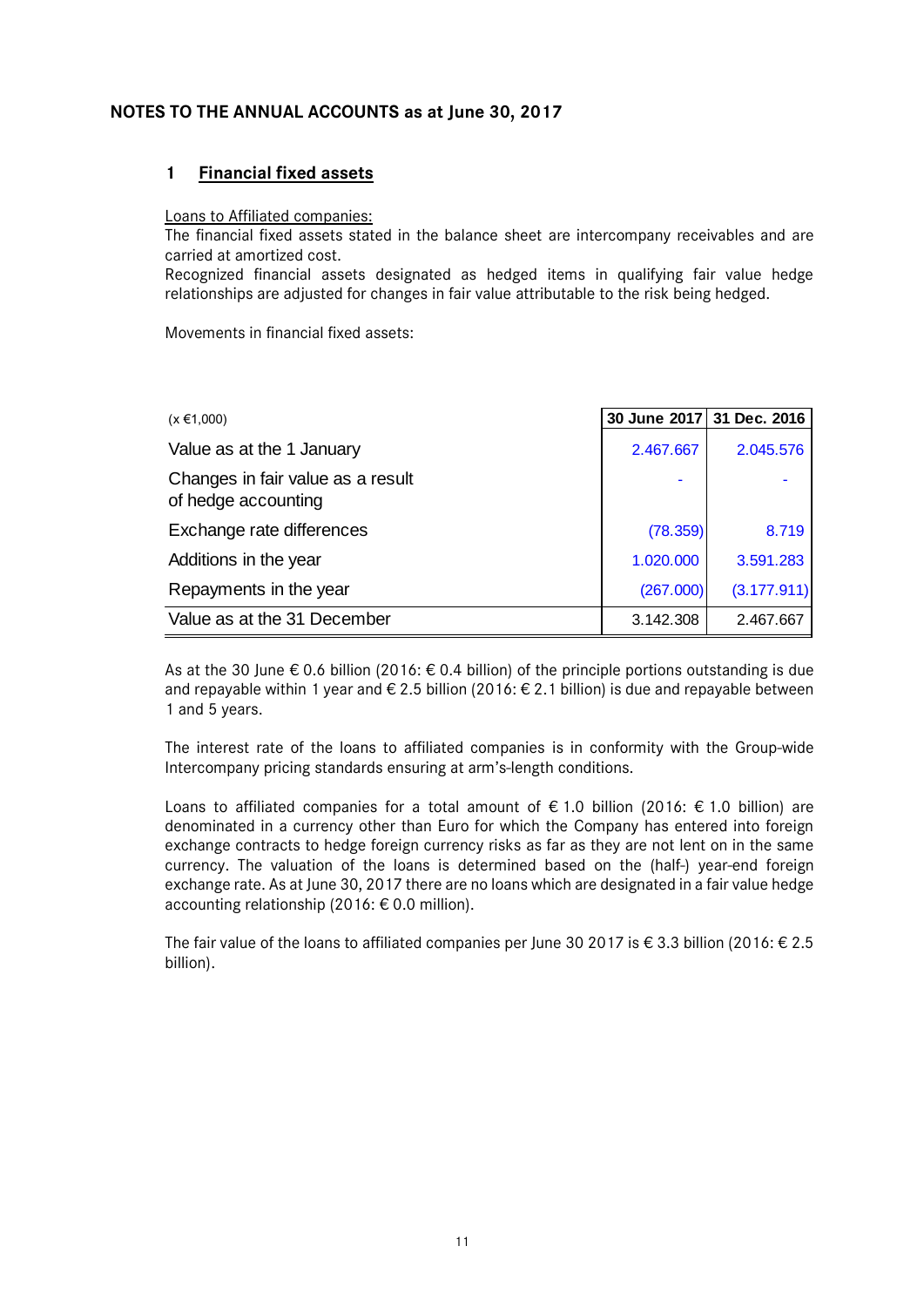#### **NOTES TO THE ANNUAL ACCOUNTS as at June 30, 2017**

#### **1 Financial fixed assets**

#### Loans to Affiliated companies:

The financial fixed assets stated in the balance sheet are intercompany receivables and are carried at amortized cost.

Recognized financial assets designated as hedged items in qualifying fair value hedge relationships are adjusted for changes in fair value attributable to the risk being hedged.

Movements in financial fixed assets:

| $(x \in 1,000)$                                          | 30 June 2017 31 Dec. 2016 |             |
|----------------------------------------------------------|---------------------------|-------------|
| Value as at the 1 January                                | 2.467.667                 | 2.045.576   |
| Changes in fair value as a result<br>of hedge accounting |                           |             |
| Exchange rate differences                                | (78.359)                  | 8.719       |
| Additions in the year                                    | 1.020.000                 | 3.591.283   |
| Repayments in the year                                   | (267.000)                 | (3.177.911) |
| Value as at the 31 December                              | 3.142.308                 | 2.467.667   |

As at the 30 June  $\epsilon$  0.6 billion (2016:  $\epsilon$  0.4 billion) of the principle portions outstanding is due and repayable within 1 year and  $\epsilon$  2.5 billion (2016:  $\epsilon$  2.1 billion) is due and repayable between 1 and 5 years.

The interest rate of the loans to affiliated companies is in conformity with the Group-wide Intercompany pricing standards ensuring at arm's-length conditions.

Loans to affiliated companies for a total amount of  $\epsilon$  1.0 billion (2016:  $\epsilon$  1.0 billion) are denominated in a currency other than Euro for which the Company has entered into foreign exchange contracts to hedge foreign currency risks as far as they are not lent on in the same currency. The valuation of the loans is determined based on the (half-) year-end foreign exchange rate. As at June 30, 2017 there are no loans which are designated in a fair value hedge accounting relationship (2016: € 0.0 million).

The fair value of the loans to affiliated companies per June 30 2017 is  $\epsilon$  3.3 billion (2016:  $\epsilon$  2.5 billion).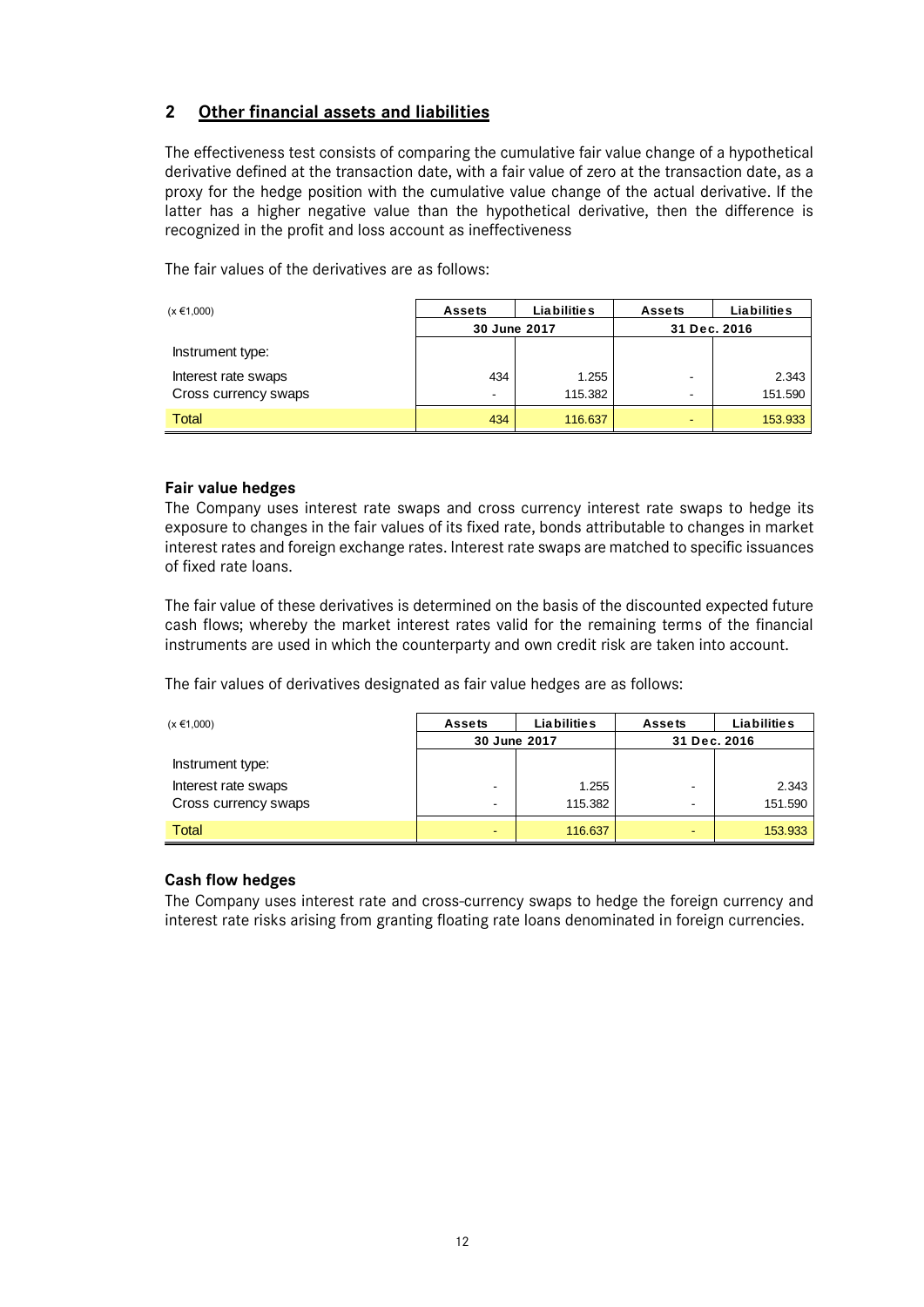### **2 Other financial assets and liabilities**

The effectiveness test consists of comparing the cumulative fair value change of a hypothetical derivative defined at the transaction date, with a fair value of zero at the transaction date, as a proxy for the hedge position with the cumulative value change of the actual derivative. If the latter has a higher negative value than the hypothetical derivative, then the difference is recognized in the profit and loss account as ineffectiveness

The fair values of the derivatives are as follows:

| $(x \in 1,000)$      | <b>Assets</b> | <b>Liabilities</b> | <b>Assets</b> | <b>Liabilities</b> |  |
|----------------------|---------------|--------------------|---------------|--------------------|--|
|                      | 30 June 2017  |                    | 31 Dec. 2016  |                    |  |
| Instrument type:     |               |                    |               |                    |  |
| Interest rate swaps  | 434           | 1.255              |               | 2.343              |  |
| Cross currency swaps | ۰.            | 115.382            |               | 151.590            |  |
| <b>Total</b>         | 434           | 116.637            |               | 153.933            |  |

#### **Fair value hedges**

The Company uses interest rate swaps and cross currency interest rate swaps to hedge its exposure to changes in the fair values of its fixed rate, bonds attributable to changes in market interest rates and foreign exchange rates. Interest rate swaps are matched to specific issuances of fixed rate loans.

The fair value of these derivatives is determined on the basis of the discounted expected future cash flows; whereby the market interest rates valid for the remaining terms of the financial instruments are used in which the counterparty and own credit risk are taken into account.

The fair values of derivatives designated as fair value hedges are as follows:

| $(x \in 1,000)$      | <b>Assets</b> | Liabilities | <b>Assets</b> | <b>Liabilities</b> |  |  |  |  |              |  |
|----------------------|---------------|-------------|---------------|--------------------|--|--|--|--|--------------|--|
|                      | 30 June 2017  |             |               |                    |  |  |  |  | 31 Dec. 2016 |  |
| Instrument type:     |               |             |               |                    |  |  |  |  |              |  |
| Interest rate swaps  |               | 1.255       | ٠             | 2.343              |  |  |  |  |              |  |
| Cross currency swaps |               | 115,382     | ٠             | 151.590            |  |  |  |  |              |  |
| <b>Total</b>         | -             | 116.637     | ٠             | 153.933            |  |  |  |  |              |  |

#### **Cash flow hedges**

The Company uses interest rate and cross-currency swaps to hedge the foreign currency and interest rate risks arising from granting floating rate loans denominated in foreign currencies.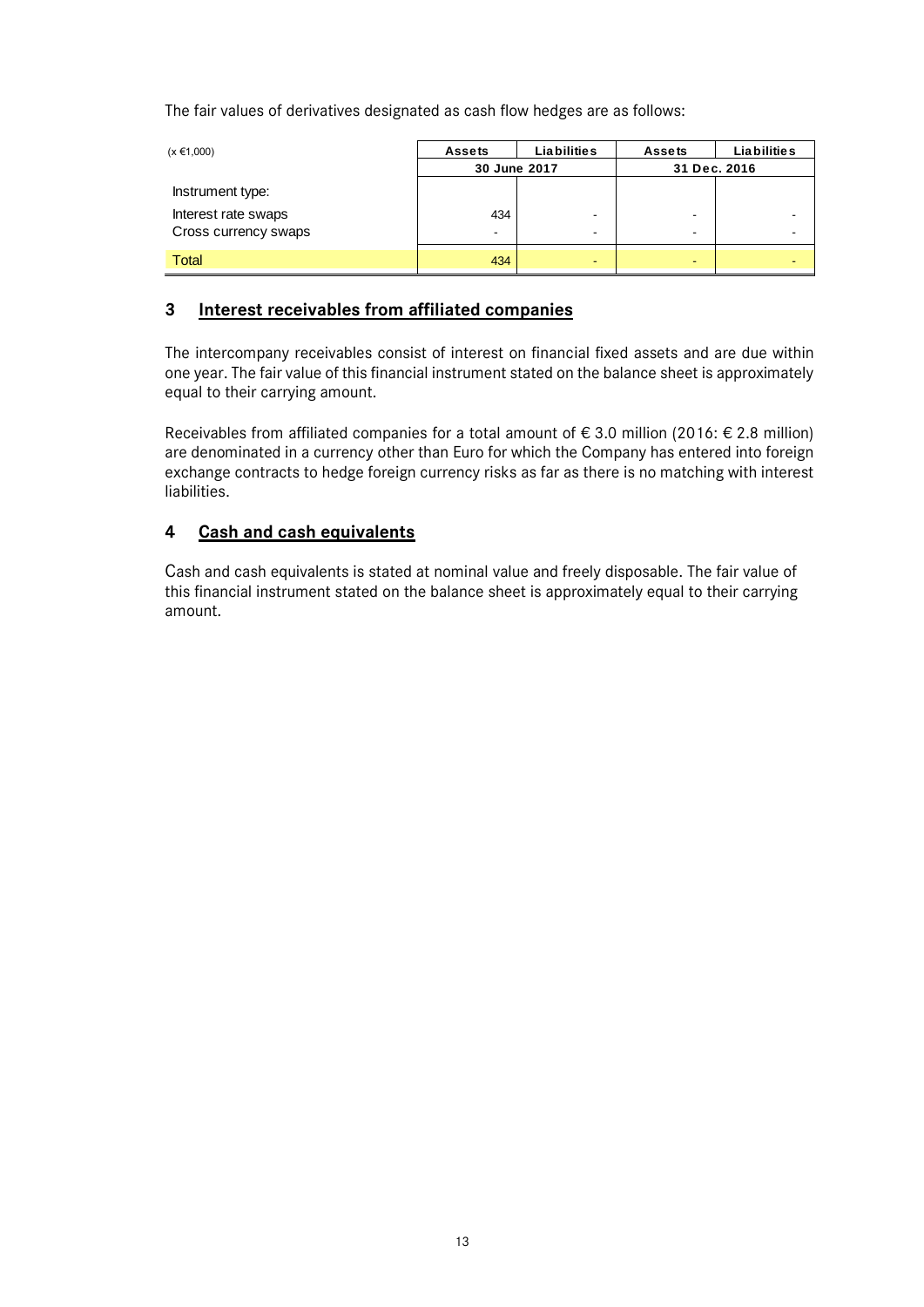The fair values of derivatives designated as cash flow hedges are as follows:

| $(x \in 1,000)$      | <b>Assets</b> | <b>Liabilities</b> | <b>Assets</b> | Liabilities |  |
|----------------------|---------------|--------------------|---------------|-------------|--|
|                      | 30 June 2017  |                    | 31 Dec. 2016  |             |  |
| Instrument type:     |               |                    |               |             |  |
| Interest rate swaps  | 434           |                    |               |             |  |
| Cross currency swaps |               | ۰                  | -             |             |  |
| <b>Total</b>         | 434           | ۰                  | -             |             |  |

### **3 Interest receivables from affiliated companies**

The intercompany receivables consist of interest on financial fixed assets and are due within one year. The fair value of this financial instrument stated on the balance sheet is approximately equal to their carrying amount.

Receivables from affiliated companies for a total amount of  $\epsilon$  3.0 million (2016:  $\epsilon$  2.8 million) are denominated in a currency other than Euro for which the Company has entered into foreign exchange contracts to hedge foreign currency risks as far as there is no matching with interest liabilities.

### **4 Cash and cash equivalents**

Cash and cash equivalents is stated at nominal value and freely disposable. The fair value of this financial instrument stated on the balance sheet is approximately equal to their carrying amount.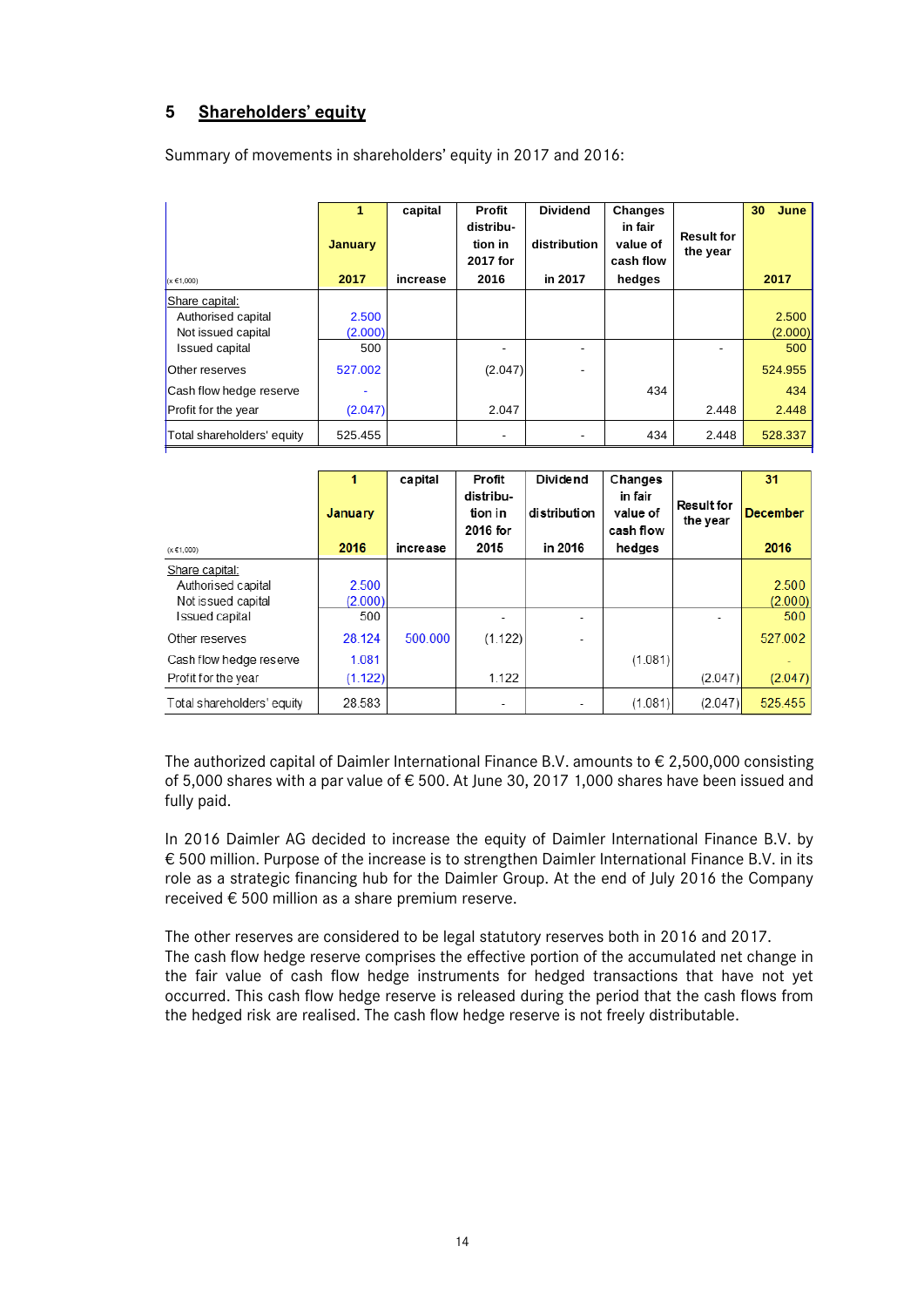### **5 Shareholders' equity**

Summary of movements in shareholders' equity in 2017 and 2016:

| $(x \in 1,000)$                          | 1<br><b>January</b><br>2017 | capital<br>increase | <b>Profit</b><br>distribu-<br>tion in<br>2017 for<br>2016 | <b>Dividend</b><br>distribution<br>in 2017 | <b>Changes</b><br>in fair<br>value of<br>cash flow<br>hedges | <b>Result for</b><br>the year | 30<br>June<br>2017 |
|------------------------------------------|-----------------------------|---------------------|-----------------------------------------------------------|--------------------------------------------|--------------------------------------------------------------|-------------------------------|--------------------|
| Share capital:                           |                             |                     |                                                           |                                            |                                                              |                               |                    |
| Authorised capital<br>Not issued capital | 2.500<br>(2.000)            |                     |                                                           |                                            |                                                              |                               | 2.500<br>(2.000)   |
| <b>Issued capital</b>                    | 500                         |                     |                                                           |                                            |                                                              |                               | 500                |
| Other reserves                           | 527.002                     |                     | (2.047)                                                   | -                                          |                                                              |                               | 524.955            |
| Cash flow hedge reserve                  |                             |                     |                                                           |                                            | 434                                                          |                               | 434                |
| <b>Profit for the year</b>               | (2.047)                     |                     | 2.047                                                     |                                            |                                                              | 2.448                         | 2.448              |
| Total shareholders' equity               | 525.455                     |                     | ٠                                                         |                                            | 434                                                          | 2.448                         | 528.337            |

|                                                                              | January                 | capital  | Profit<br>distribu-<br>tion in<br>2016 for | Dividend<br>distribution | Changes<br>in fair<br>value of<br>cash flow | <b>Result for</b><br>the year | 31<br><b>December</b>   |
|------------------------------------------------------------------------------|-------------------------|----------|--------------------------------------------|--------------------------|---------------------------------------------|-------------------------------|-------------------------|
| $(x \in 1,000)$                                                              | 2016                    | increase | 2015                                       | in 2016                  | hedges                                      |                               | 2016                    |
| Share capital:<br>Authorised capital<br>Not issued capital<br>Issued capital | 2.500<br>(2.000)<br>500 |          |                                            |                          |                                             |                               | 2.500<br>(2.000)<br>500 |
| Other reserves                                                               | 28.124                  | 500,000  | (1.122)                                    | ٠                        |                                             |                               | 527.002                 |
| Cash flow hedge reserve                                                      | 1.081                   |          |                                            |                          | (1.081)                                     |                               |                         |
| Profit for the year                                                          | (1.122)                 |          | 1.122                                      |                          |                                             | (2.047)                       | (2.047)                 |
| Total shareholders' equity                                                   | 28.583                  |          |                                            |                          | (1.081)                                     | (2.047)                       | 525.455                 |

The authorized capital of Daimler International Finance B.V. amounts to  $\epsilon$  2,500,000 consisting of 5,000 shares with a par value of € 500. At June 30, 2017 1,000 shares have been issued and fully paid.

In 2016 Daimler AG decided to increase the equity of Daimler International Finance B.V. by € 500 million. Purpose of the increase is to strengthen Daimler International Finance B.V. in its role as a strategic financing hub for the Daimler Group. At the end of July 2016 the Company received  $\epsilon$  500 million as a share premium reserve.

The other reserves are considered to be legal statutory reserves both in 2016 and 2017. The cash flow hedge reserve comprises the effective portion of the accumulated net change in the fair value of cash flow hedge instruments for hedged transactions that have not yet occurred. This cash flow hedge reserve is released during the period that the cash flows from the hedged risk are realised. The cash flow hedge reserve is not freely distributable.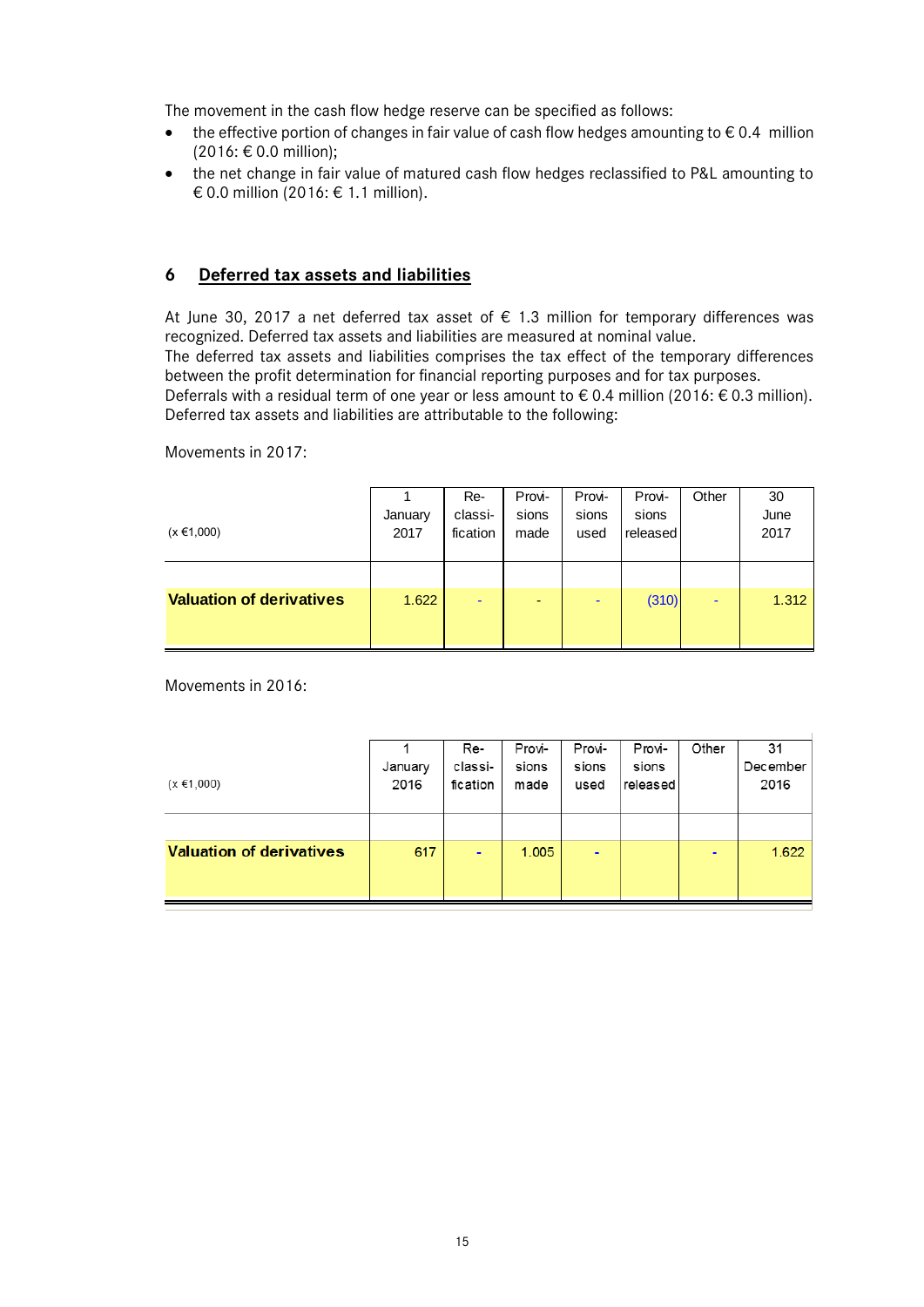The movement in the cash flow hedge reserve can be specified as follows:

- the effective portion of changes in fair value of cash flow hedges amounting to  $\epsilon$  0.4 million (2016: € 0.0 million);
- the net change in fair value of matured cash flow hedges reclassified to P&L amounting to € 0.0 million (2016: € 1.1 million).

#### **6 Deferred tax assets and liabilities**

At June 30, 2017 a net deferred tax asset of  $\epsilon$  1.3 million for temporary differences was recognized. Deferred tax assets and liabilities are measured at nominal value. The deferred tax assets and liabilities comprises the tax effect of the temporary differences

between the profit determination for financial reporting purposes and for tax purposes.

Deferrals with a residual term of one year or less amount to  $\epsilon$  0.4 million (2016:  $\epsilon$  0.3 million). Deferred tax assets and liabilities are attributable to the following:

Movements in 2017:

| $(x \in 1,000)$                 | January<br>2017 | Re-<br>classi-<br>fication | Provi-<br>sions<br>made  | Provi-<br>sions<br>used | Provi-<br>sions<br>released | Other | 30<br>June<br>2017 |
|---------------------------------|-----------------|----------------------------|--------------------------|-------------------------|-----------------------------|-------|--------------------|
| <b>Valuation of derivatives</b> | 1.622           | $\overline{\phantom{a}}$   | $\overline{\phantom{0}}$ | ٠                       | (310)                       | ۰     | 1.312              |

Movements in 2016:

| $(x \in 1,000)$                 | January<br>2016 | Re-<br>classi-<br>fication | Provi-<br>sions<br>made | Provi-<br>sions<br>used | Provi-<br>sions<br>released | Other | 31<br>December<br>2016 |
|---------------------------------|-----------------|----------------------------|-------------------------|-------------------------|-----------------------------|-------|------------------------|
|                                 |                 |                            |                         |                         |                             |       |                        |
| <b>Valuation of derivatives</b> | 617             | ٠                          | 1.005                   | ۰                       |                             | ۰     | 1.622                  |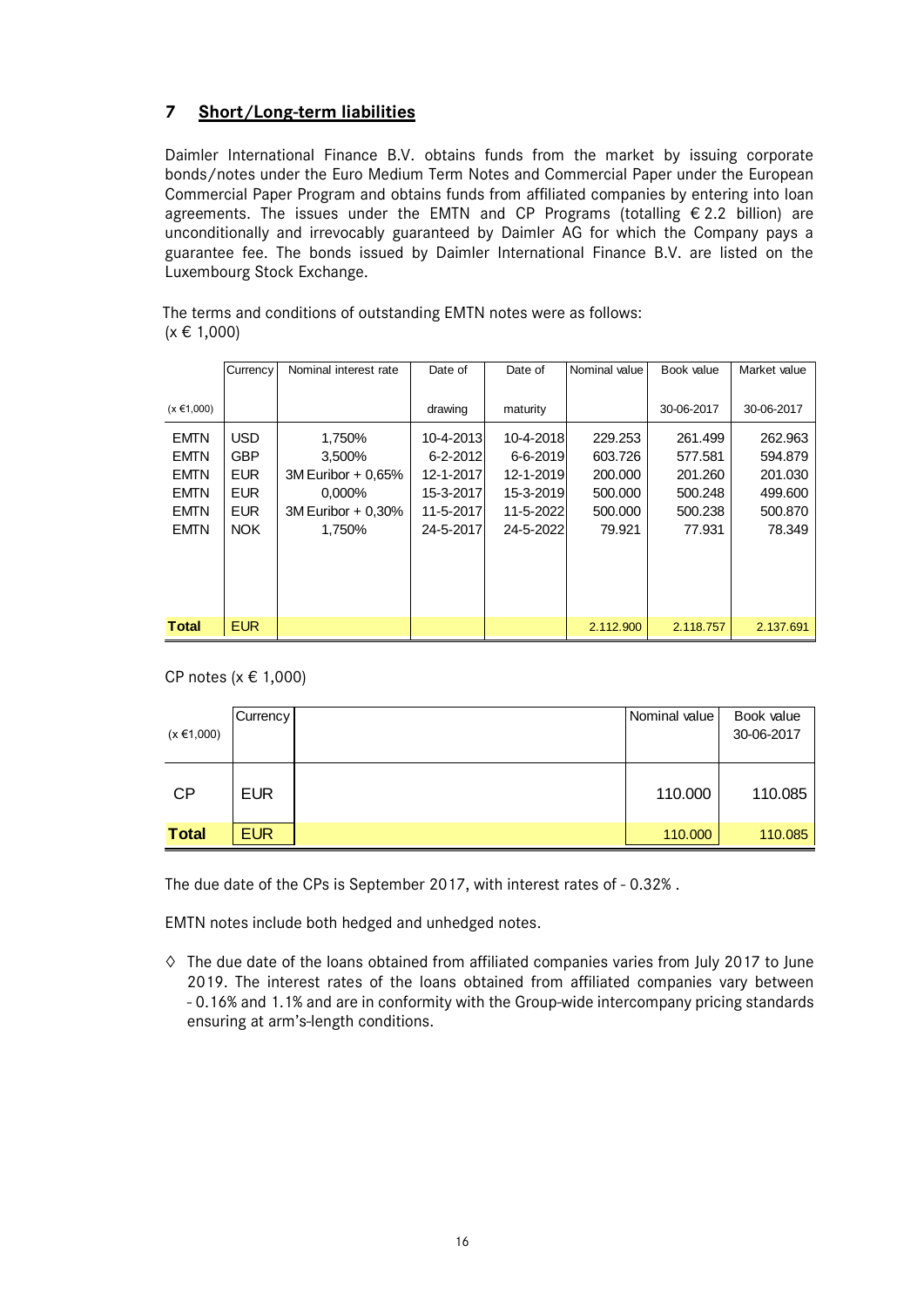# **7 Short/Long-term liabilities**

Daimler International Finance B.V. obtains funds from the market by issuing corporate bonds/notes under the Euro Medium Term Notes and Commercial Paper under the European Commercial Paper Program and obtains funds from affiliated companies by entering into loan agreements. The issues under the EMTN and CP Programs (totalling  $\epsilon$  2.2 billion) are unconditionally and irrevocably guaranteed by Daimler AG for which the Company pays a guarantee fee. The bonds issued by Daimler International Finance B.V. are listed on the Luxembourg Stock Exchange.

The terms and conditions of outstanding EMTN notes were as follows:  $(x \in 1,000)$ 

|                 | Currency   | Nominal interest rate | Date of   | Date of   | Nominal value | Book value | Market value |
|-----------------|------------|-----------------------|-----------|-----------|---------------|------------|--------------|
|                 |            |                       |           |           |               |            |              |
| $(x \in 1,000)$ |            |                       | drawing   | maturity  |               | 30-06-2017 | 30-06-2017   |
| <b>EMTN</b>     | <b>USD</b> | 1,750%                | 10-4-2013 | 10-4-2018 | 229.253       | 261.499    | 262.963      |
| <b>EMTN</b>     | <b>GBP</b> | 3,500%                | 6-2-2012  | 6-6-2019  | 603.726       | 577.581    | 594.879      |
| <b>EMTN</b>     | <b>EUR</b> | 3M Euribor + 0.65%    | 12-1-2017 | 12-1-2019 | 200,000       | 201.260    | 201.030      |
| <b>EMTN</b>     | <b>EUR</b> | 0,000%                | 15-3-2017 | 15-3-2019 | 500,000       | 500.248    | 499,600      |
| <b>EMTN</b>     | <b>EUR</b> | 3M Euribor + 0,30%    | 11-5-2017 | 11-5-2022 | 500,000       | 500.238    | 500.870      |
| <b>EMTN</b>     | <b>NOK</b> | 1,750%                | 24-5-2017 | 24-5-2022 | 79.921        | 77.931     | 78.349       |
|                 |            |                       |           |           |               |            |              |
|                 |            |                       |           |           |               |            |              |
|                 |            |                       |           |           |               |            |              |
|                 |            |                       |           |           |               |            |              |
| <b>T</b> otal   | <b>EUR</b> |                       |           |           | 2.112.900     | 2.118.757  | 2.137.691    |

CP notes (x € 1,000)

| $(x \in 1,000)$ | <b>Currency</b> | Nominal value | Book value<br>30-06-2017 |
|-----------------|-----------------|---------------|--------------------------|
| CP              | <b>EUR</b>      | 110.000       | 110.085                  |
| <b>Total</b>    | <b>EUR</b>      | 110.000       | 110.085                  |

The due date of the CPs is September 2017, with interest rates of - 0.32% .

EMTN notes include both hedged and unhedged notes.

**◊** The due date of the loans obtained from affiliated companies varies from July 2017 to June 2019. The interest rates of the loans obtained from affiliated companies vary between - 0.16% and 1.1% and are in conformity with the Group-wide intercompany pricing standards ensuring at arm's-length conditions.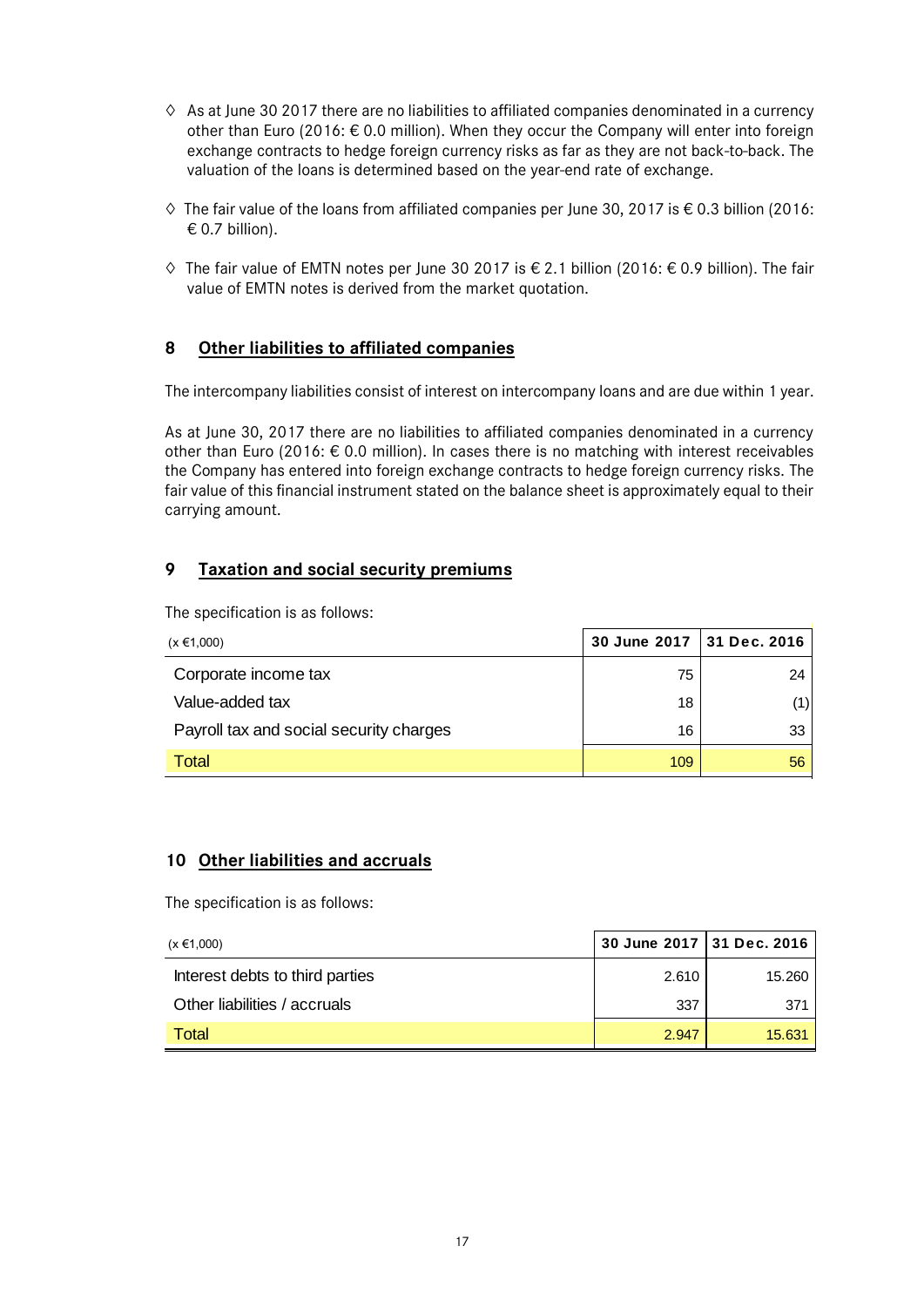- **◊** As at June 30 2017 there are no liabilities to affiliated companies denominated in a currency other than Euro (2016: € 0.0 million). When they occur the Company will enter into foreign exchange contracts to hedge foreign currency risks as far as they are not back-to-back. The valuation of the loans is determined based on the year-end rate of exchange.
- **◊** The fair value of the loans from affiliated companies per June 30, 2017 is € 0.3 billion (2016:  $\epsilon$  0.7 billion).
- **◊** The fair value of EMTN notes per June 30 2017 is € 2.1 billion (2016: € 0.9 billion). The fair value of EMTN notes is derived from the market quotation.

### **8 Other liabilities to affiliated companies**

The intercompany liabilities consist of interest on intercompany loans and are due within 1 year.

As at June 30, 2017 there are no liabilities to affiliated companies denominated in a currency other than Euro (2016:  $\epsilon$  0.0 million). In cases there is no matching with interest receivables the Company has entered into foreign exchange contracts to hedge foreign currency risks. The fair value of this financial instrument stated on the balance sheet is approximately equal to their carrying amount.

### **9 Taxation and social security premiums**

The specification is as follows:

| $(x \in 1,000)$                         | 30 June 2017 31 Dec. 2016 |     |
|-----------------------------------------|---------------------------|-----|
| Corporate income tax                    | 75                        | 24  |
| Value-added tax                         | 18                        | (1) |
| Payroll tax and social security charges | 16                        | 33  |
| Total                                   | 109                       | 56  |

#### **10 Other liabilities and accruals**

The specification is as follows:

| $(x \in 1,000)$                 |       | 30 June 2017 31 Dec. 2016 |
|---------------------------------|-------|---------------------------|
| Interest debts to third parties | 2.610 | 15.260                    |
| Other liabilities / accruals    | 337   | 371                       |
| Total                           | 2.947 | 15.631                    |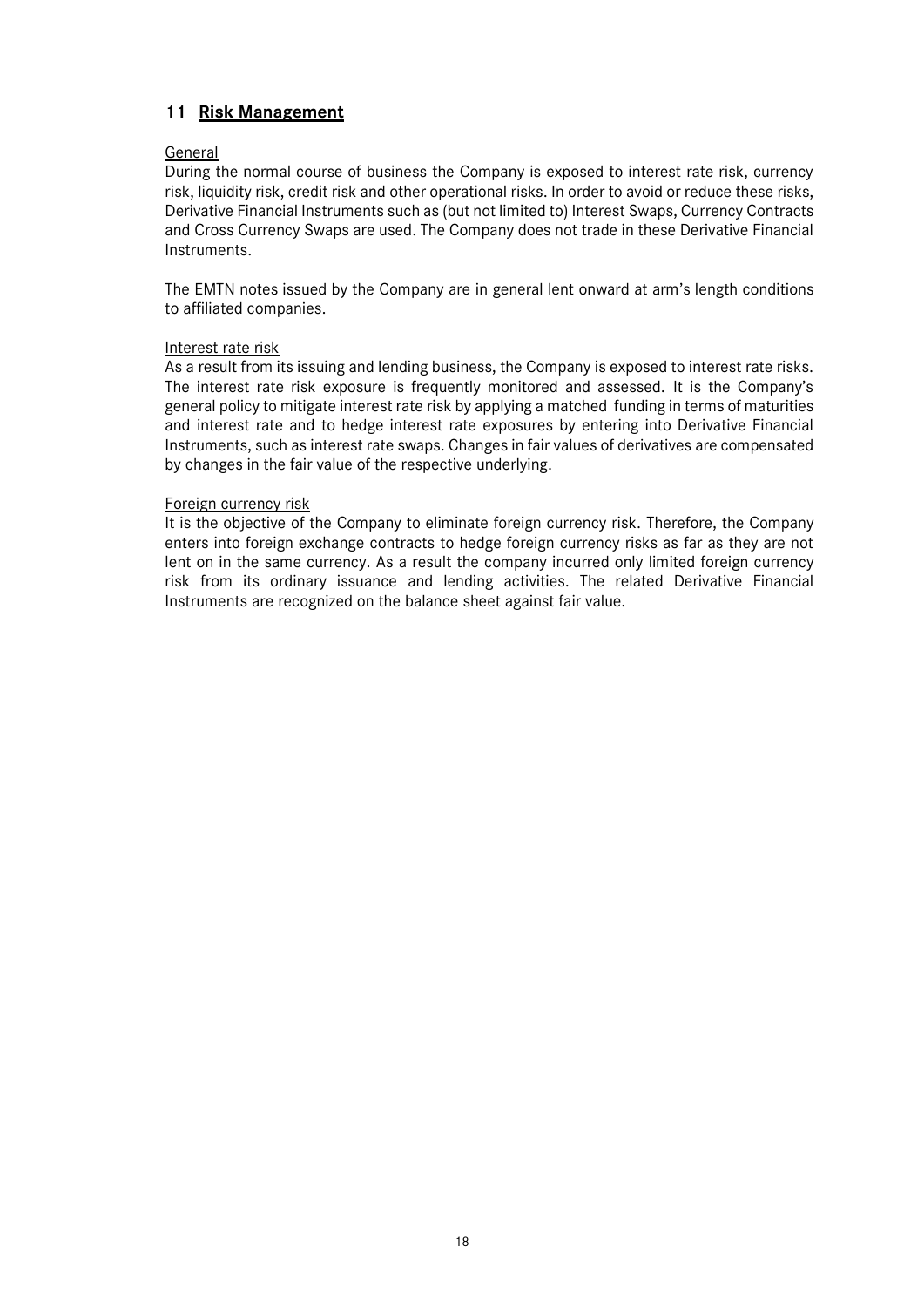#### **11 Risk Management**

#### General

During the normal course of business the Company is exposed to interest rate risk, currency risk, liquidity risk, credit risk and other operational risks. In order to avoid or reduce these risks, Derivative Financial Instruments such as (but not limited to) Interest Swaps, Currency Contracts and Cross Currency Swaps are used. The Company does not trade in these Derivative Financial Instruments.

The EMTN notes issued by the Company are in general lent onward at arm's length conditions to affiliated companies.

#### Interest rate risk

As a result from its issuing and lending business, the Company is exposed to interest rate risks. The interest rate risk exposure is frequently monitored and assessed. It is the Company's general policy to mitigate interest rate risk by applying a matched funding in terms of maturities and interest rate and to hedge interest rate exposures by entering into Derivative Financial Instruments, such as interest rate swaps. Changes in fair values of derivatives are compensated by changes in the fair value of the respective underlying.

#### Foreign currency risk

It is the objective of the Company to eliminate foreign currency risk. Therefore, the Company enters into foreign exchange contracts to hedge foreign currency risks as far as they are not lent on in the same currency. As a result the company incurred only limited foreign currency risk from its ordinary issuance and lending activities. The related Derivative Financial Instruments are recognized on the balance sheet against fair value.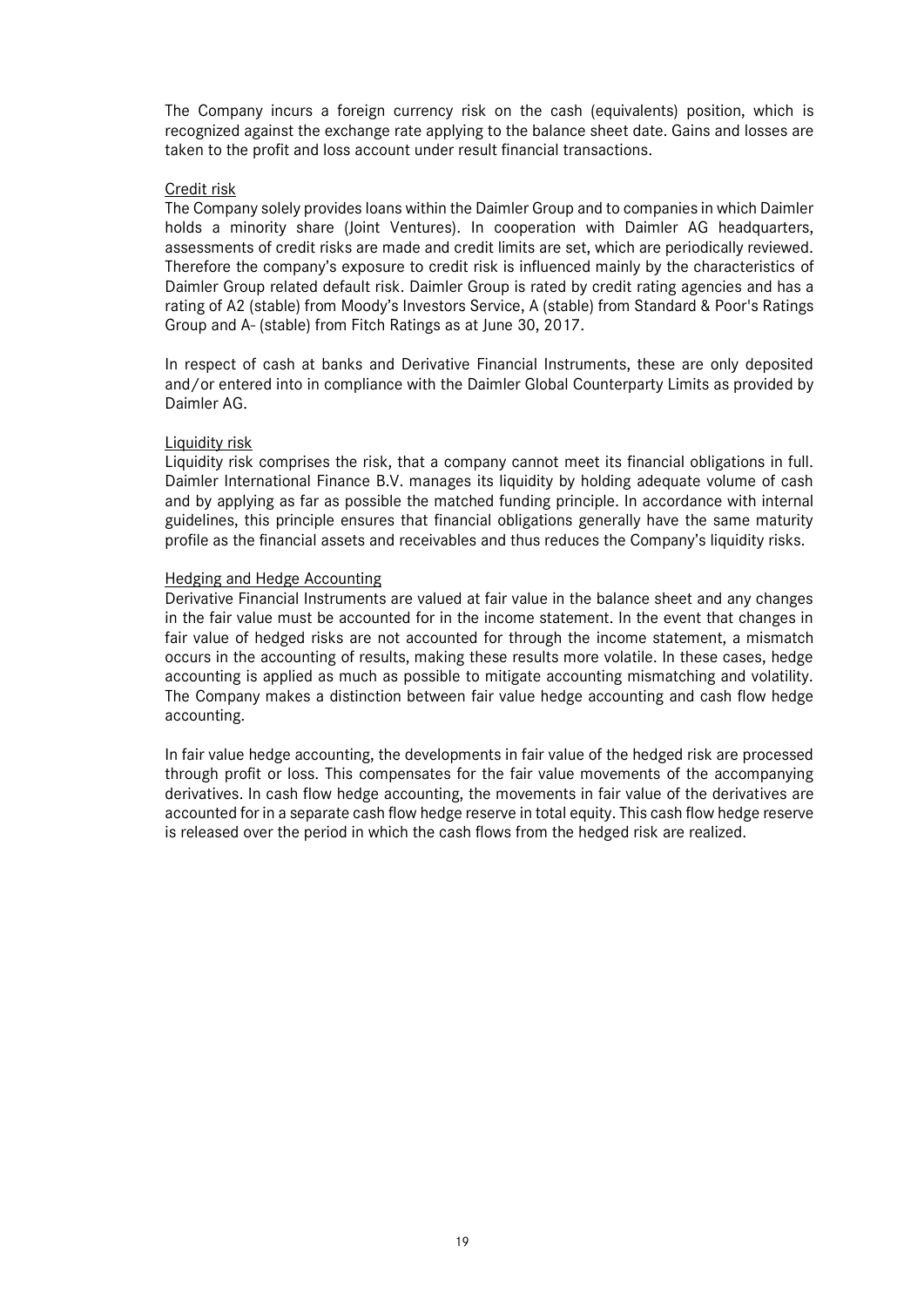The Company incurs a foreign currency risk on the cash (equivalents) position, which is recognized against the exchange rate applying to the balance sheet date. Gains and losses are taken to the profit and loss account under result financial transactions.

#### Credit risk

The Company solely provides loans within the Daimler Group and to companies in which Daimler holds a minority share (Joint Ventures). In cooperation with Daimler AG headquarters, assessments of credit risks are made and credit limits are set, which are periodically reviewed. Therefore the company's exposure to credit risk is influenced mainly by the characteristics of Daimler Group related default risk. Daimler Group is rated by credit rating agencies and has a rating of A2 (stable) from Moody's Investors Service, A (stable) from Standard & Poor's Ratings Group and A- (stable) from Fitch Ratings as at June 30, 2017.

In respect of cash at banks and Derivative Financial Instruments, these are only deposited and/or entered into in compliance with the Daimler Global Counterparty Limits as provided by Daimler AG.

#### Liquidity risk

Liquidity risk comprises the risk, that a company cannot meet its financial obligations in full. Daimler International Finance B.V. manages its liquidity by holding adequate volume of cash and by applying as far as possible the matched funding principle. In accordance with internal guidelines, this principle ensures that financial obligations generally have the same maturity profile as the financial assets and receivables and thus reduces the Company's liquidity risks.

#### Hedging and Hedge Accounting

Derivative Financial Instruments are valued at fair value in the balance sheet and any changes in the fair value must be accounted for in the income statement. In the event that changes in fair value of hedged risks are not accounted for through the income statement, a mismatch occurs in the accounting of results, making these results more volatile. In these cases, hedge accounting is applied as much as possible to mitigate accounting mismatching and volatility. The Company makes a distinction between fair value hedge accounting and cash flow hedge accounting.

In fair value hedge accounting, the developments in fair value of the hedged risk are processed through profit or loss. This compensates for the fair value movements of the accompanying derivatives. In cash flow hedge accounting, the movements in fair value of the derivatives are accounted for in a separate cash flow hedge reserve in total equity. This cash flow hedge reserve is released over the period in which the cash flows from the hedged risk are realized.